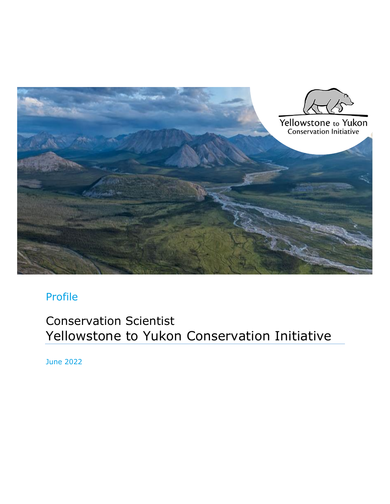

# Profile

Conservation Scientist Yellowstone to Yukon Conservation Initiative

June 2022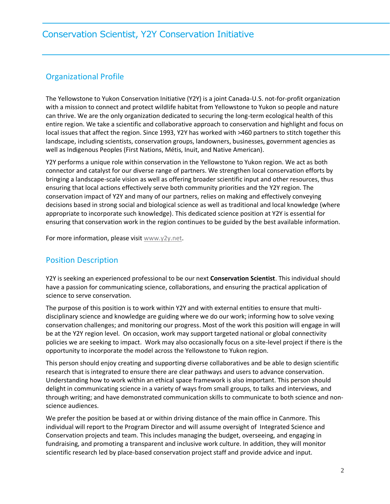### Organizational Profile

The Yellowstone to Yukon Conservation Initiative (Y2Y) is a joint Canada-U.S. not-for-profit organization with a mission to connect and protect wildlife habitat from Yellowstone to Yukon so people and nature can thrive. We are the only organization dedicated to securing the long-term ecological health of this entire region. We take a scientific and collaborative approach to conservation and highlight and focus on local issues that affect the region. Since 1993, Y2Y has worked with >460 partners to stitch together this landscape, including scientists, conservation groups, landowners, businesses, government agencies as well as Indigenous Peoples (First Nations, Métis, Inuit, and Native American).

Y2Y performs a unique role within conservation in the Yellowstone to Yukon region. We act as both connector and catalyst for our diverse range of partners. We strengthen local conservation efforts by bringing a landscape-scale vision as well as offering broader scientific input and other resources, thus ensuring that local actions effectively serve both community priorities and the Y2Y region. The conservation impact of Y2Y and many of our partners, relies on making and effectively conveying decisions based in strong social and biological science as well as traditional and local knowledge (where appropriate to incorporate such knowledge). This dedicated science position at Y2Y is essential for ensuring that conservation work in the region continues to be guided by the best available information.

For more information, please visit [www.y2y.net.](http://www.y2y.net/)

#### Position Description

Y2Y is seeking an experienced professional to be our next **Conservation Scientist**. This individual should have a passion for communicating science, collaborations, and ensuring the practical application of science to serve conservation.

The purpose of this position is to work within Y2Y and with external entities to ensure that multidisciplinary science and knowledge are guiding where we do our work; informing how to solve vexing conservation challenges; and monitoring our progress. Most of the work this position will engage in will be at the Y2Y region level. On occasion, work may support targeted national or global connectivity policies we are seeking to impact. Work may also occasionally focus on a site-level project if there is the opportunity to incorporate the model across the Yellowstone to Yukon region.

This person should enjoy creating and supporting diverse collaboratives and be able to design scientific research that is integrated to ensure there are clear pathways and users to advance conservation. Understanding how to work within an ethical space framework is also important. This person should delight in communicating science in a variety of ways from small groups, to talks and interviews, and through writing; and have demonstrated communication skills to communicate to both science and nonscience audiences.

We prefer the position be based at or within driving distance of the main office in Canmore. This individual will report to the Program Director and will assume oversight of Integrated Science and Conservation projects and team. This includes managing the budget, overseeing, and engaging in fundraising, and promoting a transparent and inclusive work culture. In addition, they will monitor scientific research led by place-based conservation project staff and provide advice and input.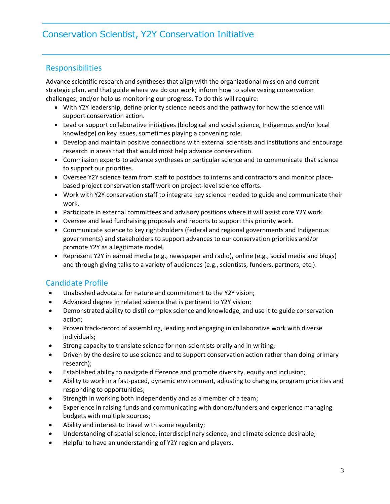#### Responsibilities

Advance scientific research and syntheses that align with the organizational mission and current strategic plan, and that guide where we do our work; inform how to solve vexing conservation challenges; and/or help us monitoring our progress. To do this will require:

- With Y2Y leadership, define priority science needs and the pathway for how the science will support conservation action.
- Lead or support collaborative initiatives (biological and social science, Indigenous and/or local knowledge) on key issues, sometimes playing a convening role.
- Develop and maintain positive connections with external scientists and institutions and encourage research in areas that that would most help advance conservation.
- Commission experts to advance syntheses or particular science and to communicate that science to support our priorities.
- Oversee Y2Y science team from staff to postdocs to interns and contractors and monitor placebased project conservation staff work on project-level science efforts.
- Work with Y2Y conservation staff to integrate key science needed to guide and communicate their work.
- Participate in external committees and advisory positions where it will assist core Y2Y work.
- Oversee and lead fundraising proposals and reports to support this priority work.
- Communicate science to key rightsholders (federal and regional governments and Indigenous governments) and stakeholders to support advances to our conservation priorities and/or promote Y2Y as a legitimate model.
- Represent Y2Y in earned media (e.g., newspaper and radio), online (e.g., social media and blogs) and through giving talks to a variety of audiences (e.g., scientists, funders, partners, etc.).

#### Candidate Profile

- Unabashed advocate for nature and commitment to the Y2Y vision;
- Advanced degree in related science that is pertinent to Y2Y vision;
- Demonstrated ability to distil complex science and knowledge, and use it to guide conservation action;
- Proven track-record of assembling, leading and engaging in collaborative work with diverse individuals;
- Strong capacity to translate science for non-scientists orally and in writing;
- Driven by the desire to use science and to support conservation action rather than doing primary research);
- Established ability to navigate difference and promote diversity, equity and inclusion;
- Ability to work in a fast-paced, dynamic environment, adjusting to changing program priorities and responding to opportunities;
- Strength in working both independently and as a member of a team;
- Experience in raising funds and communicating with donors/funders and experience managing budgets with multiple sources;
- Ability and interest to travel with some regularity;
- Understanding of spatial science, interdisciplinary science, and climate science desirable;
- Helpful to have an understanding of Y2Y region and players.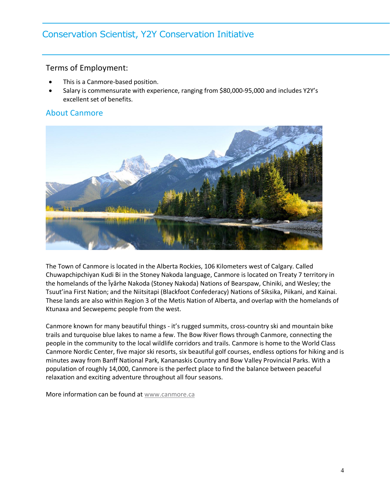# Conservation Scientist, Y2Y Conservation Initiative

#### Terms of Employment:

- This is a Canmore-based position.
- Salary is commensurate with experience, ranging from \$80,000-95,000 and includes Y2Y's excellent set of benefits.

#### About Canmore



The Town of Canmore is located in the Alberta Rockies, 106 Kilometers west of Calgary. Called Chuwapchipchiyan Kudi Bi in the Stoney Nakoda language, Canmore is located on Treaty 7 territory in the homelands of the Îyârhe Nakoda (Stoney Nakoda) Nations of Bearspaw, Chiniki, and Wesley; the Tsuut'ina First Nation; and the Niitsitapi (Blackfoot Confederacy) Nations of Siksika, Piikani, and Kainai. These lands are also within Region 3 of the Metis Nation of Alberta, and overlap with the homelands of Ktunaxa and Secwepemc people from the west.

Canmore known for many beautiful things - it's rugged summits, cross-country ski and mountain bike trails and turquoise blue lakes to name a few. The Bow River flows through Canmore, connecting the people in the community to the local wildlife corridors and trails. Canmore is home to the World Class Canmore Nordic Center, five major ski resorts, six beautiful golf courses, endless options for hiking and is minutes away from Banff National Park, Kananaskis Country and Bow Valley Provincial Parks. With a population of roughly 14,000, Canmore is the perfect place to find the balance between peaceful relaxation and exciting adventure throughout all four seasons.

More information can be found at [www.canmore.ca](http://www.canmore.ca/)